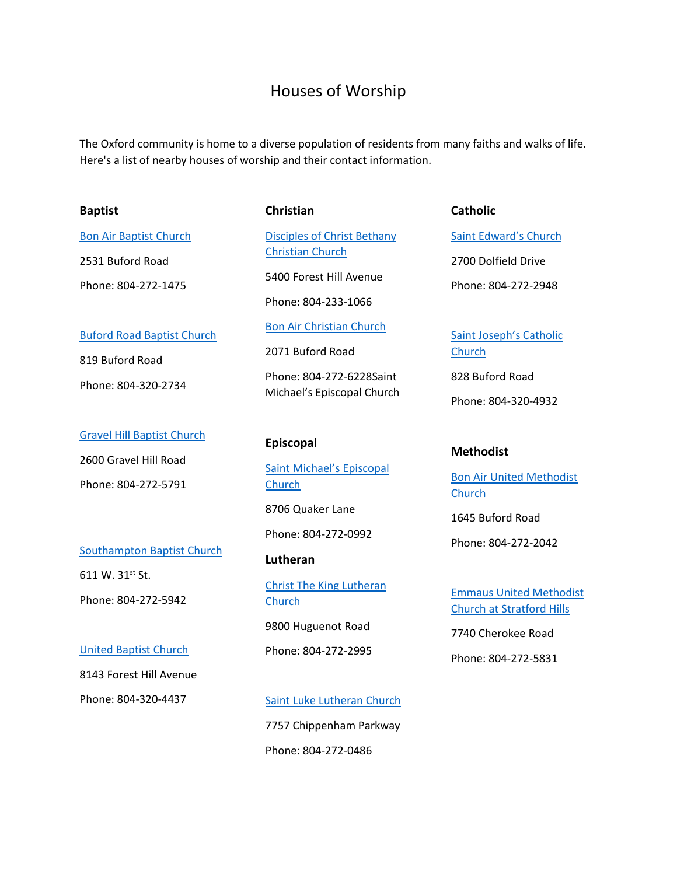## Houses of Worship

The Oxford community is home to a diverse population of residents from many faiths and walks of life. Here's a list of nearby houses of worship and their contact information.

#### **Baptist**

[Bon Air Baptist Church](http://www.bonairbaptist.org/)

Phone: 804-272-1475

[Buford Road Baptist Church](http://bufordroadbaptistchurch.com/)

2531 Buford Road

819 Buford Road

Phone: 804-320-2734

2600 Gravel Hill Road

Phone: 804-272-5791

611 W.  $31^{st}$  St.

[Southampton Baptist Church](http://southamptonbaptist.net/)

**Christian**

[Disciples of Christ Bethany](http://www.bethanyccdoc.org/)  [Christian Church](http://www.bethanyccdoc.org/)

5400 Forest Hill Avenue

Phone: 804-233-1066

[Bon Air Christian Church](http://www.baccdoc.org/)

2071 Buford Road

Phone: 804-272-6228Saint Michael's Episcopal Church

#### [Gravel Hill Baptist Church](http://www.gravelhillbaptistchurch.org/) **Episcopal**

[Saint Michael's Episcopal](https://www.stmichaelsbonair.org/)  [Church](https://www.stmichaelsbonair.org/)

8706 Quaker Lane

Phone: 804-272-0992

#### **Lutheran**

[Christ The King Lutheran](http://ctkrva.org/)  [Church](http://ctkrva.org/)

9800 Huguenot Road

Phone: 804-272-2995

8143 Forest Hill Avenue

[United Baptist Church](https://www.mapquest.com/us/virginia/united-baptist-church-2876956) 

Phone: 804-272-5942

Phone: 804-320-4437

# [Saint Luke Lutheran Church](https://stlukerichmond.org/) 7757 Chippenham Parkway Phone: 804-272-0486

**Catholic**

[Saint Edward's Church](http://mobile.stedchurch.com/home) 2700 Dolfield Drive Phone: 804-272-2948

[Saint Joseph's Catholic](http://www.stjosephrichmond.org/)  **[Church](http://www.stjosephrichmond.org/)** 

828 Buford Road

Phone: 804-320-4932

#### **Methodist**

[Bon Air United Methodist](http://www.bonairumc.org/)  **[Church](http://www.bonairumc.org/)** 

1645 Buford Road

Phone: 804-272-2042

Emmaus [United Methodist](http://www.umc.org/find-a-church/church/46400)  Church [at Stratford Hills](http://www.umc.org/find-a-church/church/46400)

7740 Cherokee Road

Phone: 804-272-5831